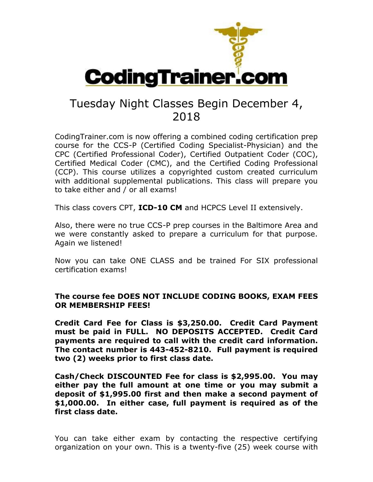

## Tuesday Night Classes Begin December 4, 2018

CodingTrainer.com is now offering a combined coding certification prep course for the CCS-P (Certified Coding Specialist-Physician) and the CPC (Certified Professional Coder), Certified Outpatient Coder (COC), Certified Medical Coder (CMC), and the Certified Coding Professional (CCP). This course utilizes a copyrighted custom created curriculum with additional supplemental publications. This class will prepare you to take either and / or all exams!

This class covers CPT, **ICD-10 CM** and HCPCS Level II extensively.

Also, there were no true CCS-P prep courses in the Baltimore Area and we were constantly asked to prepare a curriculum for that purpose. Again we listened!

Now you can take ONE CLASS and be trained For SIX professional certification exams!

## **The course fee DOES NOT INCLUDE CODING BOOKS, EXAM FEES OR MEMBERSHIP FEES!**

**Credit Card Fee for Class is \$3,250.00. Credit Card Payment must be paid in FULL. NO DEPOSITS ACCEPTED. Credit Card payments are required to call with the credit card information. The contact number is 443-452-8210. Full payment is required two (2) weeks prior to first class date.**

**Cash/Check DISCOUNTED Fee for class is \$2,995.00. You may either pay the full amount at one time or you may submit a deposit of \$1,995.00 first and then make a second payment of \$1,000.00. In either case, full payment is required as of the first class date.**

You can take either exam by contacting the respective certifying organization on your own. This is a twenty-five (25) week course with